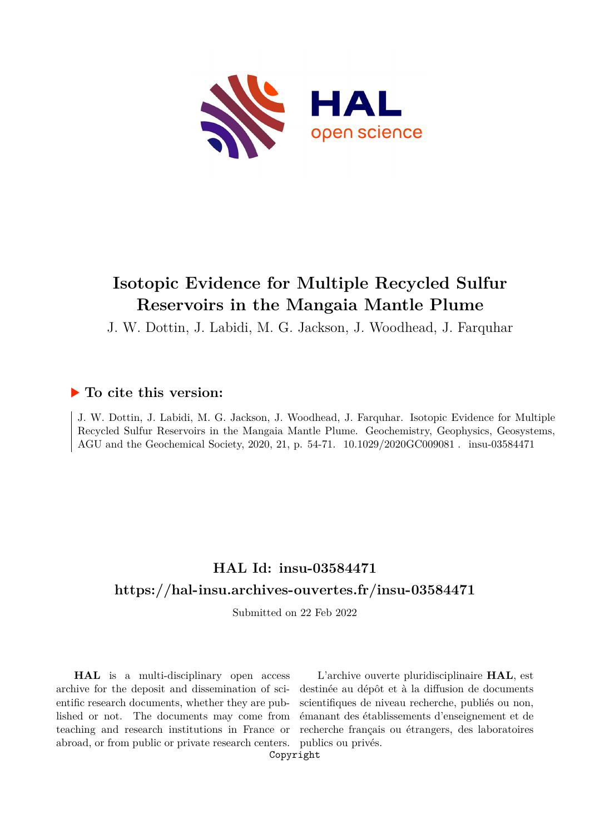

# **Isotopic Evidence for Multiple Recycled Sulfur Reservoirs in the Mangaia Mantle Plume**

J. W. Dottin, J. Labidi, M. G. Jackson, J. Woodhead, J. Farquhar

## **To cite this version:**

J. W. Dottin, J. Labidi, M. G. Jackson, J. Woodhead, J. Farquhar. Isotopic Evidence for Multiple Recycled Sulfur Reservoirs in the Mangaia Mantle Plume. Geochemistry, Geophysics, Geosystems, AGU and the Geochemical Society, 2020, 21, p. 54-71.  $10.1029/2020GCO09081$ . insu-03584471

# **HAL Id: insu-03584471 <https://hal-insu.archives-ouvertes.fr/insu-03584471>**

Submitted on 22 Feb 2022

**HAL** is a multi-disciplinary open access archive for the deposit and dissemination of scientific research documents, whether they are published or not. The documents may come from teaching and research institutions in France or abroad, or from public or private research centers.

L'archive ouverte pluridisciplinaire **HAL**, est destinée au dépôt et à la diffusion de documents scientifiques de niveau recherche, publiés ou non, émanant des établissements d'enseignement et de recherche français ou étrangers, des laboratoires publics ou privés.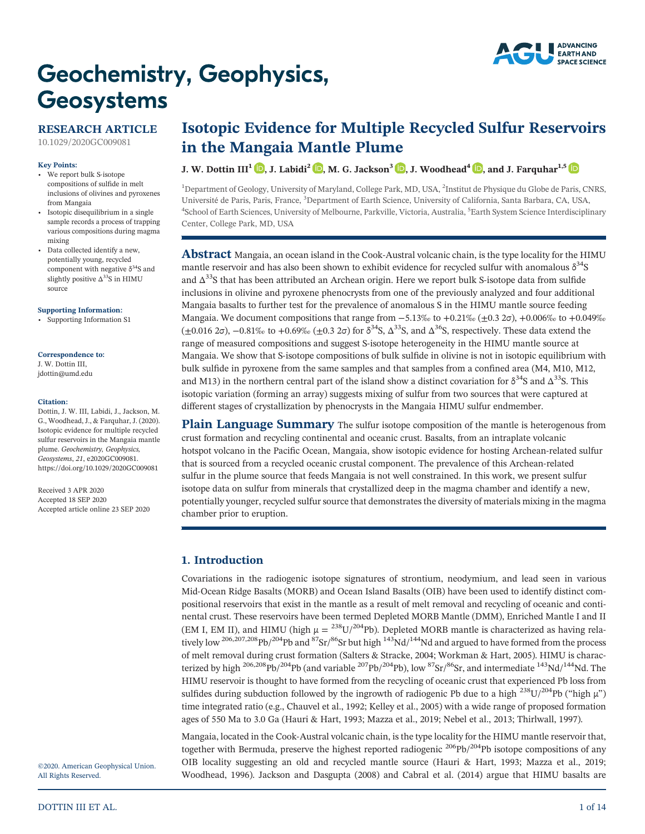# **Geochemistry, Geophysics,** Geosystems



### **RESEARCH ARTICLE**

[10.1029/2020GC009081](https://doi.org/10.1029/2020GC009081)

#### **Key Points:**

- We report bulk S‐isotope compositions of sulfide in melt inclusions of olivines and pyroxenes from Mangaia
- Isotopic disequilibrium in a single sample records a process of trapping various compositions during magma mixing
- Data collected identify a new, potentially young, recycled component with negative  $\delta^{34}S$  and slightly positive  $\Delta^{33}$ S in HIMU source

#### **[Supporting Information:](http://dx.doi.org/10.1029/2020GC009081)**

[•](http://dx.doi.org/10.1029/2020GC009081) [Supporting Information S1](http://dx.doi.org/10.1029/2020GC009081)

#### **Correspondence to:**

J. W. Dottin III, [jdottin@umd.edu](mailto:jdottin@umd.edu)

#### **Citation:**

Dottin, J. W. III, Labidi, J., Jackson, M. G., Woodhead, J., & Farquhar, J. (2020). Isotopic evidence for multiple recycled sulfur reservoirs in the Mangaia mantle plume. *Geochemistry, Geophysics, Geosystems*, *21*, e2020GC009081. <https://doi.org/10.1029/2020GC009081>

Received 3 APR 2020 Accepted 18 SEP 2020 Accepted article online 23 SEP 2020

**Isotopic Evidence for Multiple Recycled Sulfur Reservoirs in the Mangaia Mantle Plume**

#### **J.** W. Dottin  $III^1$  **b**[,](https://orcid.org/0000-0002-7614-0136) J. Labidi<sup>2</sup> **b**, M. G. Jackson<sup>3</sup> **b**, J. Woodhead<sup>4</sup> **b**, and J. Farquhar<sup>1,5</sup> **b**

<sup>1</sup>Department of Geology, University of Maryland, College Park, MD, USA, <sup>2</sup>Institut de Physique du Globe de Paris, CNRS, Université de Paris, Paris, France, <sup>3</sup>Department of Earth Science, University of California, Santa Barbara, CA, USA, 4 School of Earth Sciences, University of Melbourne, Parkville, Victoria, Australia, <sup>5</sup> Earth System Science Interdisciplinary Center, College Park, MD, USA

**Abstract** Mangaia, an ocean island in the Cook-Austral volcanic chain, is the type locality for the HIMU mantle reservoir and has also been shown to exhibit evidence for recycled sulfur with anomalous  $\delta^{34}S$ and  $\Delta^{33}$ S that has been attributed an Archean origin. Here we report bulk S-isotope data from sulfide inclusions in olivine and pyroxene phenocrysts from one of the previously analyzed and four additional Mangaia basalts to further test for the prevalence of anomalous S in the HIMU mantle source feeding Mangaia. We document compositions that range from −5.13‰ to +0.21‰ (±0.3 2σ), +0.006‰ to +0.049‰  $(\pm 0.016 \text{ } 2\sigma)$ ,  $-0.81\%$  to  $+0.69\%$   $(\pm 0.3 \text{ } 2\sigma)$  for  $\delta^{34}$ S,  $\Delta^{33}$ S, and  $\Delta^{36}$ S, respectively. These data extend the range of measured compositions and suggest S‐isotope heterogeneity in the HIMU mantle source at Mangaia. We show that S‐isotope compositions of bulk sulfide in olivine is not in isotopic equilibrium with bulk sulfide in pyroxene from the same samples and that samples from a confined area (M4, M10, M12, and M13) in the northern central part of the island show a distinct covariation for  $\delta^{34}S$  and  $\Delta^{33}S$ . This isotopic variation (forming an array) suggests mixing of sulfur from two sources that were captured at different stages of crystallization by phenocrysts in the Mangaia HIMU sulfur endmember.

**Plain Language Summary** The sulfur isotope composition of the mantle is heterogenous from crust formation and recycling continental and oceanic crust. Basalts, from an intraplate volcanic hotspot volcano in the Pacific Ocean, Mangaia, show isotopic evidence for hosting Archean‐related sulfur that is sourced from a recycled oceanic crustal component. The prevalence of this Archean-related sulfur in the plume source that feeds Mangaia is not well constrained. In this work, we present sulfur isotope data on sulfur from minerals that crystallized deep in the magma chamber and identify a new, potentially younger, recycled sulfur source that demonstrates the diversity of materials mixing in the magma chamber prior to eruption.

#### **1. Introduction**

Covariations in the radiogenic isotope signatures of strontium, neodymium, and lead seen in various Mid‐Ocean Ridge Basalts (MORB) and Ocean Island Basalts (OIB) have been used to identify distinct compositional reservoirs that exist in the mantle as a result of melt removal and recycling of oceanic and continental crust. These reservoirs have been termed Depleted MORB Mantle (DMM), Enriched Mantle I and II (EM I, EM II), and HIMU (high  $\mu = {}^{238}U/{}^{204}Pb$ ). Depleted MORB mantle is characterized as having relatively low <sup>206,207,208</sup>Pb/<sup>204</sup>Pb and <sup>87</sup>Sr/<sup>86</sup>Sr but high <sup>143</sup>Nd/<sup>144</sup>Nd and argued to have formed from the process of melt removal during crust formation (Salters & Stracke, 2004; Workman & Hart, 2005). HIMU is characterized by high <sup>206,208</sup>Pb/<sup>204</sup>Pb (and variable <sup>207</sup>Pb/<sup>204</sup>Pb), low <sup>87</sup>Sr/<sup>86</sup>Sr, and intermediate <sup>143</sup>Nd/<sup>144</sup>Nd. The HIMU reservoir is thought to have formed from the recycling of oceanic crust that experienced Pb loss from sulfides during subduction followed by the ingrowth of radiogenic Pb due to a high  $^{238}$ U/<sup>204</sup>Pb ("high  $\mu$ ") time integrated ratio (e.g., Chauvel et al., 1992; Kelley et al., 2005) with a wide range of proposed formation ages of 550 Ma to 3.0 Ga (Hauri & Hart, 1993; Mazza et al., 2019; Nebel et al., 2013; Thirlwall, 1997).

Mangaia, located in the Cook‐Austral volcanic chain, is the type locality for the HIMU mantle reservoir that, together with Bermuda, preserve the highest reported radiogenic  $^{206}Pb/^{204}Pb$  isotope compositions of any OIB locality suggesting an old and recycled mantle source (Hauri & Hart, 1993; Mazza et al., 2019; Woodhead, 1996). Jackson and Dasgupta (2008) and Cabral et al. (2014) argue that HIMU basalts are

©2020. American Geophysical Union. All Rights Reserved.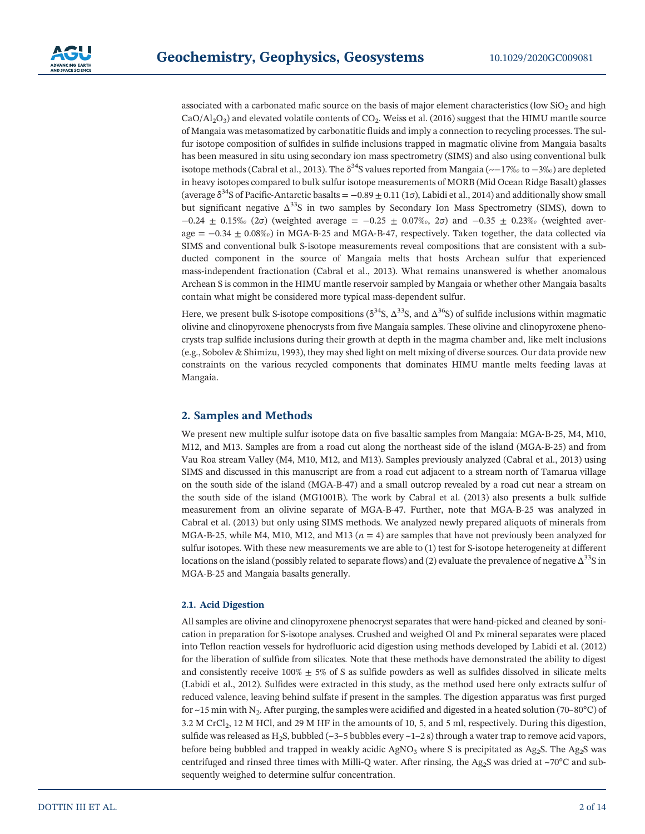associated with a carbonated mafic source on the basis of major element characteristics (low SiO<sub>2</sub> and high  $CaO/Al<sub>2</sub>O<sub>3</sub>$  and elevated volatile contents of CO<sub>2</sub>. Weiss et al. (2016) suggest that the HIMU mantle source of Mangaia was metasomatized by carbonatitic fluids and imply a connection to recycling processes. The sulfur isotope composition of sulfides in sulfide inclusions trapped in magmatic olivine from Mangaia basalts has been measured in situ using secondary ion mass spectrometry (SIMS) and also using conventional bulk isotope methods (Cabral et al., 2013). The  $\delta^{34}S$  values reported from Mangaia (~−17‰ to −3‰) are depleted in heavy isotopes compared to bulk sulfur isotope measurements of MORB (Mid Ocean Ridge Basalt) glasses (average  $\delta^{34}$ S of Pacific-Antarctic basalts =  $-0.89 \pm 0.11$  (1 $\sigma$ ), Labidi et al., 2014) and additionally show small but significant negative Δ33S in two samples by Secondary Ion Mass Spectrometry (SIMS), down to  $-0.24 \pm 0.15\%$  (2σ) (weighted average =  $-0.25 \pm 0.07\%$ , 2σ) and  $-0.35 \pm 0.23\%$  (weighted aver $age = -0.34 + 0.08\%$ ) in MGA-B-25 and MGA-B-47, respectively. Taken together, the data collected via SIMS and conventional bulk S‐isotope measurements reveal compositions that are consistent with a subducted component in the source of Mangaia melts that hosts Archean sulfur that experienced mass‐independent fractionation (Cabral et al., 2013). What remains unanswered is whether anomalous Archean S is common in the HIMU mantle reservoir sampled by Mangaia or whether other Mangaia basalts contain what might be considered more typical mass-dependent sulfur.

Here, we present bulk S-isotope compositions ( $\delta^{34}S$ ,  $\Delta^{33}S$ , and  $\Delta^{36}S$ ) of sulfide inclusions within magmatic olivine and clinopyroxene phenocrysts from five Mangaia samples. These olivine and clinopyroxene phenocrysts trap sulfide inclusions during their growth at depth in the magma chamber and, like melt inclusions (e.g., Sobolev & Shimizu, 1993), they may shed light on melt mixing of diverse sources. Our data provide new constraints on the various recycled components that dominates HIMU mantle melts feeding lavas at Mangaia.

#### **2. Samples and Methods**

We present new multiple sulfur isotope data on five basaltic samples from Mangaia: MGA‐B‐25, M4, M10, M12, and M13. Samples are from a road cut along the northeast side of the island (MGA‐B‐25) and from Vau Roa stream Valley (M4, M10, M12, and M13). Samples previously analyzed (Cabral et al., 2013) using SIMS and discussed in this manuscript are from a road cut adjacent to a stream north of Tamarua village on the south side of the island (MGA‐B‐47) and a small outcrop revealed by a road cut near a stream on the south side of the island (MG1001B). The work by Cabral et al. (2013) also presents a bulk sulfide measurement from an olivine separate of MGA‐B‐47. Further, note that MGA‐B‐25 was analyzed in Cabral et al. (2013) but only using SIMS methods. We analyzed newly prepared aliquots of minerals from MGA-B-25, while M4, M10, M12, and M13 ( $n = 4$ ) are samples that have not previously been analyzed for sulfur isotopes. With these new measurements we are able to (1) test for S‐isotope heterogeneity at different locations on the island (possibly related to separate flows) and (2) evaluate the prevalence of negative  $\Delta^{33}$ S in MGA‐B‐25 and Mangaia basalts generally.

#### **2.1. Acid Digestion**

All samples are olivine and clinopyroxene phenocryst separates that were hand‐picked and cleaned by sonication in preparation for S‐isotope analyses. Crushed and weighed Ol and Px mineral separates were placed into Teflon reaction vessels for hydrofluoric acid digestion using methods developed by Labidi et al. (2012) for the liberation of sulfide from silicates. Note that these methods have demonstrated the ability to digest and consistently receive  $100\% \pm 5\%$  of S as sulfide powders as well as sulfides dissolved in silicate melts (Labidi et al., 2012). Sulfides were extracted in this study, as the method used here only extracts sulfur of reduced valence, leaving behind sulfate if present in the samples. The digestion apparatus was first purged for  $\sim$ 15 min with N<sub>2</sub>. After purging, the samples were acidified and digested in a heated solution (70–80°C) of 3.2 M CrCl<sub>2</sub>, 12 M HCl, and 29 M HF in the amounts of 10, 5, and 5 ml, respectively. During this digestion, sulfide was released as H<sub>2</sub>S, bubbled (~3–5 bubbles every ~1–2 s) through a water trap to remove acid vapors, before being bubbled and trapped in weakly acidic AgNO<sub>3</sub> where S is precipitated as Ag<sub>2</sub>S. The Ag<sub>2</sub>S was centrifuged and rinsed three times with Milli-Q water. After rinsing, the Ag<sub>2</sub>S was dried at ~70°C and subsequently weighed to determine sulfur concentration.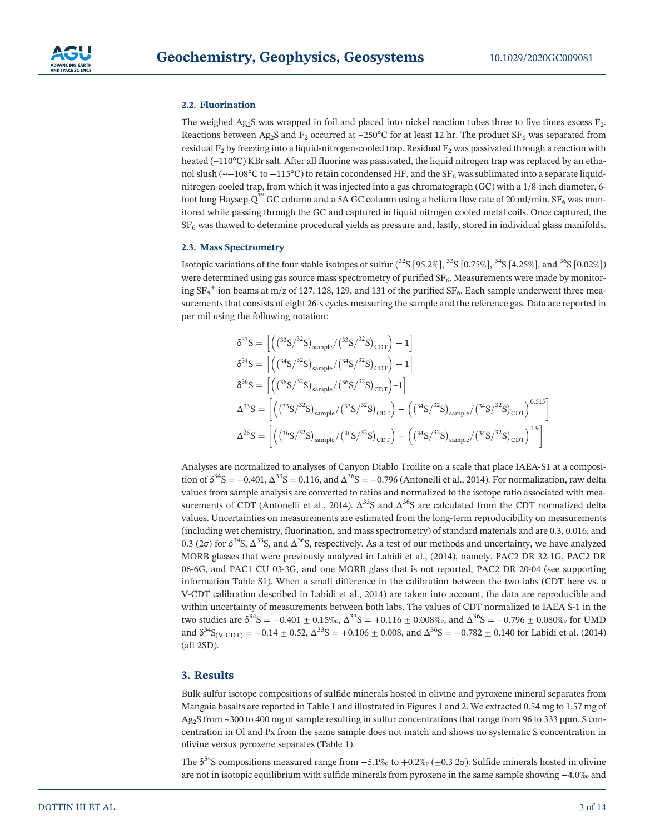

#### **2.2. Fluorination**

The weighed  $Ag_2S$  was wrapped in foil and placed into nickel reaction tubes three to five times excess  $F_2$ . Reactions between Ag<sub>2</sub>S and F<sub>2</sub> occurred at ~250°C for at least 12 hr. The product SF<sub>6</sub> was separated from residual  $F_2$  by freezing into a liquid-nitrogen-cooled trap. Residual  $F_2$  was passivated through a reaction with heated (~110°C) KBr salt. After all fluorine was passivated, the liquid nitrogen trap was replaced by an ethanol slush (~−108°C to −115°C) to retain cocondensed HF, and the SF<sub>6</sub> was sublimated into a separate liquidnitrogen-cooled trap, from which it was injected into a gas chromatograph (GC) with a 1/8-inch diameter, 6foot long Haysep-Q<sup>™</sup> GC column and a 5A GC column using a helium flow rate of 20 ml/min. SF<sub>6</sub> was monitored while passing through the GC and captured in liquid nitrogen cooled metal coils. Once captured, the SF6 was thawed to determine procedural yields as pressure and, lastly, stored in individual glass manifolds.

#### **2.3. Mass Spectrometry**

Isotopic variations of the four stable isotopes of sulfur  $(^{32}S$  [95.2%],  $^{33}S$  [0.75%],  $^{34}S$  [4.25%], and  $^{36}S$  [0.02%]) were determined using gas source mass spectrometry of purified SF<sub>6</sub>. Measurements were made by monitoring  $SF_5^+$  ion beams at m/z of 127, 128, 129, and 131 of the purified  $SF_6$ . Each sample underwent three measurements that consists of eight 26‐s cycles measuring the sample and the reference gas. Data are reported in per mil using the following notation:

$$
\delta^{33}S = \left[ \left( \left( {^{33}S}/{^{32}S} \right)_{sample} / {^{33}S}/{^{32}S} \right)_{CDT} \right) - 1 \right] \n\delta^{34}S = \left[ \left( \left( {^{34}S}/{^{32}S} \right)_{sample} / {^{34}S}/{^{32}S} \right)_{CDT} \right) - 1 \right] \n\delta^{36}S = \left[ \left( \left( {^{36}S}/{^{32}S} \right)_{sample} / {^{36}S}/{^{32}S} \right)_{CDT} \right) - 1 \right] \n\Delta^{33}S = \left[ \left( \left( {^{33}S}/{^{32}S} \right)_{sample} / {^{33}S}/{^{32}S} \right)_{CDT} \right) - \left( \left( {^{34}S}/{^{32}S} \right)_{sample} / {^{34}S}/{^{32}S} \right)_{CDT} \right)^{0.515} \right] \n\Delta^{36}S = \left[ \left( \left( {^{36}S}/{^{32}S} \right)_{sample} / {^{36}S}/{^{32}S} \right)_{CDT} \right) - \left( \left( {^{34}S}/{^{32}S} \right)_{sample} / {^{34}S}/{^{32}S} \right)_{CDT} \right)^{1.9} \right]
$$

Analyses are normalized to analyses of Canyon Diablo Troilite on a scale that place IAEA‐S1 at a composition of  $\delta^{34}S = -0.401$ ,  $\Delta^{33}S = 0.116$ , and  $\Delta^{36}S = -0.796$  (Antonelli et al., 2014). For normalization, raw delta values from sample analysis are converted to ratios and normalized to the isotope ratio associated with measurements of CDT (Antonelli et al., 2014).  $\Delta^{33}S$  and  $\Delta^{36}S$  are calculated from the CDT normalized delta values. Uncertainties on measurements are estimated from the long-term reproducibility on measurements (including wet chemistry, fluorination, and mass spectrometry) of standard materials and are 0.3, 0.016, and 0.3 ( $2\sigma$ ) for  $\delta^{34}S$ ,  $\Delta^{33}S$ , and  $\Delta^{36}S$ , respectively. As a test of our methods and uncertainty, we have analyzed MORB glasses that were previously analyzed in Labidi et al., (2014), namely, PAC2 DR 32‐1G, PAC2 DR 06‐6G, and PAC1 CU 03‐3G, and one MORB glass that is not reported, PAC2 DR 20‐04 (see supporting information Table S1). When a small difference in the calibration between the two labs (CDT here vs. a V‐CDT calibration described in Labidi et al., 2014) are taken into account, the data are reproducible and within uncertainty of measurements between both labs. The values of CDT normalized to IAEA S‐1 in the two studies are  $\delta^{34}S = -0.401 \pm 0.15\%$ ,  $\Delta^{33}S = +0.116 \pm 0.008\%$ , and  $\Delta^{36}S = -0.796 \pm 0.080\%$  for UMD and  $\delta^{34}S_{\text{(V-CDT)}} = -0.14 \pm 0.52$ ,  $\Delta^{33}S = +0.106 \pm 0.008$ , and  $\Delta^{36}S = -0.782 \pm 0.140$  for Labidi et al. (2014) (all 2SD).

#### **3. Results**

Bulk sulfur isotope compositions of sulfide minerals hosted in olivine and pyroxene mineral separates from Mangaia basalts are reported in Table 1 and illustrated in Figures 1 and 2. We extracted 0.54 mg to 1.57 mg of Ag<sub>2</sub>S from ~300 to 400 mg of sample resulting in sulfur concentrations that range from 96 to 333 ppm. S concentration in Ol and Px from the same sample does not match and shows no systematic S concentration in olivine versus pyroxene separates (Table 1).

The  $\delta^{34}$ S compositions measured range from −5.1‰ to +0.2‰ (±0.3 2σ). Sulfide minerals hosted in olivine are not in isotopic equilibrium with sulfide minerals from pyroxene in the same sample showing −4.0‰ and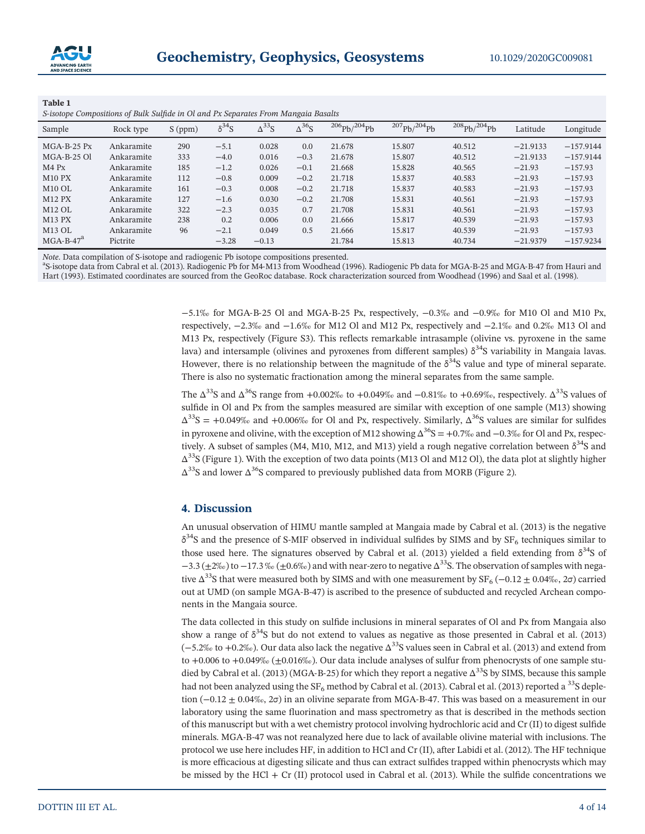

| Table 1 |  |  |                                                                                    |  |
|---------|--|--|------------------------------------------------------------------------------------|--|
|         |  |  | S-isotope Compositions of Bulk Sulfide in Ol and Px Separates From Mangaia Basalts |  |

| Sample        | Rock type  | $S$ (ppm) | $\delta^{34}S$ | $\Delta^{33}$ S | $\Delta^{36}$ S | $^{206}Pb/^{204}Pb$ | $^{207}Pb/^{204}Pb$ | $^{208}Pb/^{204}Pb$ | Latitude   | Longitude   |  |  |
|---------------|------------|-----------|----------------|-----------------|-----------------|---------------------|---------------------|---------------------|------------|-------------|--|--|
| $MGA-B-25$ Px | Ankaramite | 290       | $-5.1$         | 0.028           | 0.0             | 21.678              | 15.807              | 40.512              | $-21.9133$ | $-157.9144$ |  |  |
| $MGA-B-25$ Ol | Ankaramite | 333       | $-4.0$         | 0.016           | $-0.3$          | 21.678              | 15.807              | 40.512              | $-21.9133$ | $-157.9144$ |  |  |
| $M4$ Px       | Ankaramite | 185       | $-1.2$         | 0.026           | $-0.1$          | 21.668              | 15.828              | 40.565              | $-21.93$   | $-157.93$   |  |  |
| $M10$ PX      | Ankaramite | 112       | $-0.8$         | 0.009           | $-0.2$          | 21.718              | 15.837              | 40.583              | $-21.93$   | $-157.93$   |  |  |
| $M10$ OL      | Ankaramite | 161       | $-0.3$         | 0.008           | $-0.2$          | 21.718              | 15.837              | 40.583              | $-21.93$   | $-157.93$   |  |  |
| <b>M12 PX</b> | Ankaramite | 127       | $-1.6$         | 0.030           | $-0.2$          | 21.708              | 15.831              | 40.561              | $-21.93$   | $-157.93$   |  |  |
| $M12$ OL      | Ankaramite | 322       | $-2.3$         | 0.035           | 0.7             | 21.708              | 15.831              | 40.561              | $-21.93$   | $-157.93$   |  |  |
| <b>M13 PX</b> | Ankaramite | 238       | 0.2            | 0.006           | 0.0             | 21.666              | 15.817              | 40.539              | $-21.93$   | $-157.93$   |  |  |
| $M13$ OL      | Ankaramite | 96        | $-2.1$         | 0.049           | 0.5             | 21.666              | 15.817              | 40.539              | $-21.93$   | $-157.93$   |  |  |
| $MGA-B-47a$   | Pictrite   |           | $-3.28$        | $-0.13$         |                 | 21.784              | 15.813              | 40.734              | $-21.9379$ | $-157.9234$ |  |  |

*Note*. Data compilation of S-isotope and radiogenic Pb isotope compositions presented.

S‐isotope data from Cabral et al. (2013). Radiogenic Pb for M4‐M13 from Woodhead (1996). Radiogenic Pb data for MGA‐B‐25 and MGA‐B‐47 from Hauri and Hart (1993). Estimated coordinates are sourced from the GeoRoc database. Rock characterization sourced from Woodhead (1996) and Saal et al. (1998).

> −5.1‰ for MGA‐B‐25 Ol and MGA‐B‐25 Px, respectively, −0.3‰ and −0.9‰ for M10 Ol and M10 Px, respectively, −2.3‰ and −1.6‰ for M12 Ol and M12 Px, respectively and −2.1‰ and 0.2‰ M13 Ol and M13 Px, respectively (Figure S3). This reflects remarkable intrasample (olivine vs. pyroxene in the same lava) and intersample (olivines and pyroxenes from different samples)  $\delta^{34}$ S variability in Mangaia lavas. However, there is no relationship between the magnitude of the  $\delta^{34}S$  value and type of mineral separate. There is also no systematic fractionation among the mineral separates from the same sample.

> The  $\Delta^{33}$ S and  $\Delta^{36}$ S range from +0.002‰ to +0.049‰ and −0.81‰ to +0.69‰, respectively.  $\Delta^{33}$ S values of sulfide in Ol and Px from the samples measured are similar with exception of one sample (M13) showing  $\Delta^{33}$ S = +0.049‰ and +0.006‰ for Ol and Px, respectively. Similarly,  $\Delta^{36}$ S values are similar for sulfides in pyroxene and olivine, with the exception of M12 showing  $\Delta^{36}S = +0.7\%$  and  $-0.3\%$  for Ol and Px, respectively. A subset of samples (M4, M10, M12, and M13) yield a rough negative correlation between  $\delta^{34}S$  and  $\Delta^{33}$ S (Figure 1). With the exception of two data points (M13 Ol and M12 Ol), the data plot at slightly higher  $\Delta^{33}$ S and lower  $\Delta^{36}$ S compared to previously published data from MORB (Figure 2).

#### **4. Discussion**

An unusual observation of HIMU mantle sampled at Mangaia made by Cabral et al. (2013) is the negative  $\delta^{34}$ S and the presence of S-MIF observed in individual sulfides by SIMS and by SF<sub>6</sub> techniques similar to those used here. The signatures observed by Cabral et al. (2013) yielded a field extending from  $\delta^{34}S$  of  $-3.3 (\pm 2\%)$  to  $-17.3\% (\pm 0.6\%)$  and with near-zero to negative  $\Delta^{33}$ S. The observation of samples with negative  $\Delta^{33}$ S that were measured both by SIMS and with one measurement by SF<sub>6</sub> (−0.12 ± 0.04‰, 2 $\sigma$ ) carried out at UMD (on sample MGA‐B‐47) is ascribed to the presence of subducted and recycled Archean components in the Mangaia source.

The data collected in this study on sulfide inclusions in mineral separates of Ol and Px from Mangaia also show a range of  $\delta^{34}S$  but do not extend to values as negative as those presented in Cabral et al. (2013)  $(-5.2\% \text{ to } +0.2\%)$ . Our data also lack the negative  $\Delta^{33}$ S values seen in Cabral et al. (2013) and extend from to +0.006 to +0.049‰ ( $\pm$ 0.016‰). Our data include analyses of sulfur from phenocrysts of one sample studied by Cabral et al. (2013) (MGA-B-25) for which they report a negative  $\Delta^{33}$ S by SIMS, because this sample had not been analyzed using the  $SF_6$  method by Cabral et al. (2013). Cabral et al. (2013) reported a <sup>33</sup>S depletion ( $-0.12 \pm 0.04\%$ , 2 $\sigma$ ) in an olivine separate from MGA-B-47. This was based on a measurement in our laboratory using the same fluorination and mass spectrometry as that is described in the methods section of this manuscript but with a wet chemistry protocol involving hydrochloric acid and Cr (II) to digest sulfide minerals. MGA‐B‐47 was not reanalyzed here due to lack of available olivine material with inclusions. The protocol we use here includes HF, in addition to HCl and Cr (II), after Labidi et al. (2012). The HF technique is more efficacious at digesting silicate and thus can extract sulfides trapped within phenocrysts which may be missed by the HCl + Cr (II) protocol used in Cabral et al. (2013). While the sulfide concentrations we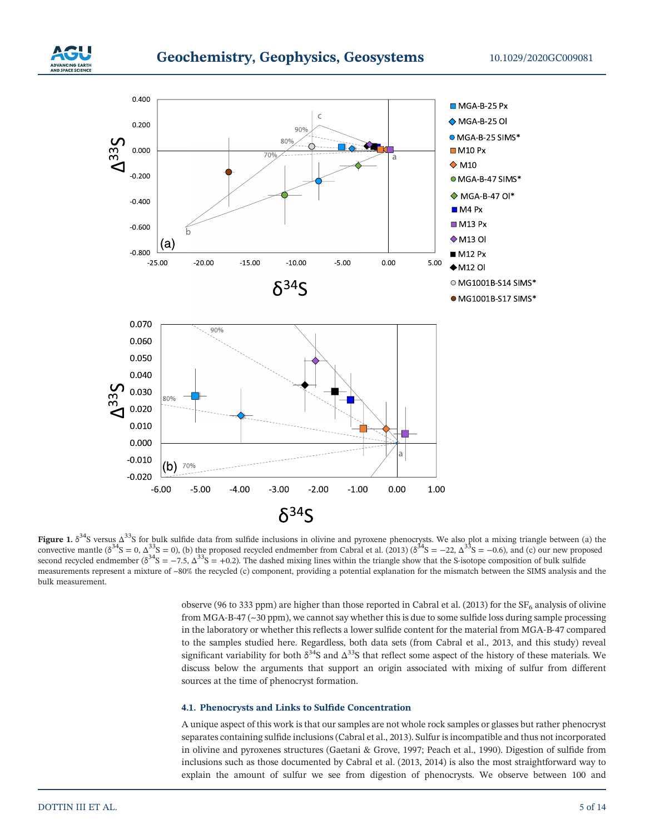



**Figure 1.**  $\delta^{34}$ S versus Δ<sup>33</sup>S for bulk sulfide data from sulfide inclusions in olivine and pyroxene phenocrysts. We also plot a mixing triangle between (a) the convective mantle ( $\delta^{34}S = 0$ ,  $\Delta^{33}S = 0$ ), (b) the proposed recycled endmember from Cabral et al. (2013) ( $\delta^{34}S = -22$ ,  $\Delta^{33}S = -0.6$ ), and (c) our new proposed second recycled endmember  $(\delta^{34}S = -7.5, \Delta^{33}S = +0.2)$ . The dashed mixing lines within the triangle show that the S-isotope composition of bulk sulfide measurements represent a mixture of ~80% the recycled (c) component, providing a potential explanation for the mismatch between the SIMS analysis and the bulk measurement.

observe (96 to 333 ppm) are higher than those reported in Cabral et al. (2013) for the  $SF<sub>6</sub>$  analysis of olivine from MGA-B-47 (~30 ppm), we cannot say whether this is due to some sulfide loss during sample processing in the laboratory or whether this reflects a lower sulfide content for the material from MGA‐B‐47 compared to the samples studied here. Regardless, both data sets (from Cabral et al., 2013, and this study) reveal significant variability for both  $\delta^{34}S$  and  $\Delta^{33}S$  that reflect some aspect of the history of these materials. We discuss below the arguments that support an origin associated with mixing of sulfur from different sources at the time of phenocryst formation.

#### **4.1. Phenocrysts and Links to Sulfide Concentration**

A unique aspect of this work is that our samples are not whole rock samples or glasses but rather phenocryst separates containing sulfide inclusions (Cabral et al., 2013). Sulfur is incompatible and thus not incorporated in olivine and pyroxenes structures (Gaetani & Grove, 1997; Peach et al., 1990). Digestion of sulfide from inclusions such as those documented by Cabral et al. (2013, 2014) is also the most straightforward way to explain the amount of sulfur we see from digestion of phenocrysts. We observe between 100 and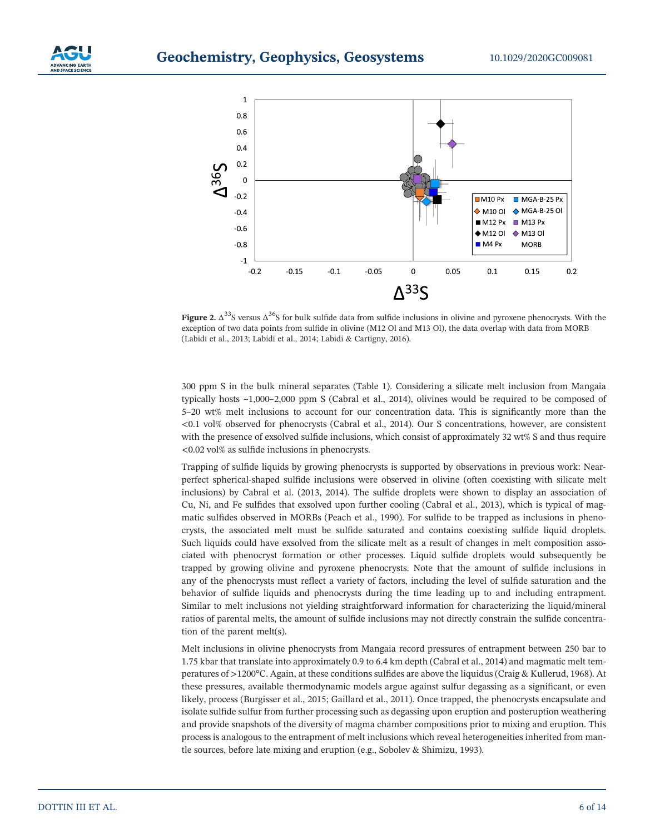



**Figure 2.**  $\Delta^{33}$ S versus  $\Delta^{36}$ S for bulk sulfide data from sulfide inclusions in olivine and pyroxene phenocrysts. With the exception of two data points from sulfide in olivine (M12 Ol and M13 Ol), the data overlap with data from MORB (Labidi et al., 2013; Labidi et al., 2014; Labidi & Cartigny, 2016).

300 ppm S in the bulk mineral separates (Table 1). Considering a silicate melt inclusion from Mangaia typically hosts ~1,000–2,000 ppm S (Cabral et al., 2014), olivines would be required to be composed of 5–20 wt% melt inclusions to account for our concentration data. This is significantly more than the <0.1 vol% observed for phenocrysts (Cabral et al., 2014). Our S concentrations, however, are consistent with the presence of exsolved sulfide inclusions, which consist of approximately 32 wt% S and thus require <0.02 vol% as sulfide inclusions in phenocrysts.

Trapping of sulfide liquids by growing phenocrysts is supported by observations in previous work: Near‐ perfect spherical‐shaped sulfide inclusions were observed in olivine (often coexisting with silicate melt inclusions) by Cabral et al. (2013, 2014). The sulfide droplets were shown to display an association of Cu, Ni, and Fe sulfides that exsolved upon further cooling (Cabral et al., 2013), which is typical of magmatic sulfides observed in MORBs (Peach et al., 1990). For sulfide to be trapped as inclusions in phenocrysts, the associated melt must be sulfide saturated and contains coexisting sulfide liquid droplets. Such liquids could have exsolved from the silicate melt as a result of changes in melt composition associated with phenocryst formation or other processes. Liquid sulfide droplets would subsequently be trapped by growing olivine and pyroxene phenocrysts. Note that the amount of sulfide inclusions in any of the phenocrysts must reflect a variety of factors, including the level of sulfide saturation and the behavior of sulfide liquids and phenocrysts during the time leading up to and including entrapment. Similar to melt inclusions not yielding straightforward information for characterizing the liquid/mineral ratios of parental melts, the amount of sulfide inclusions may not directly constrain the sulfide concentration of the parent melt(s).

Melt inclusions in olivine phenocrysts from Mangaia record pressures of entrapment between 250 bar to 1.75 kbar that translate into approximately 0.9 to 6.4 km depth (Cabral et al., 2014) and magmatic melt temperatures of >1200°C. Again, at these conditions sulfides are above the liquidus (Craig & Kullerud, 1968). At these pressures, available thermodynamic models argue against sulfur degassing as a significant, or even likely, process (Burgisser et al., 2015; Gaillard et al., 2011). Once trapped, the phenocrysts encapsulate and isolate sulfide sulfur from further processing such as degassing upon eruption and posteruption weathering and provide snapshots of the diversity of magma chamber compositions prior to mixing and eruption. This process is analogous to the entrapment of melt inclusions which reveal heterogeneities inherited from mantle sources, before late mixing and eruption (e.g., Sobolev & Shimizu, 1993).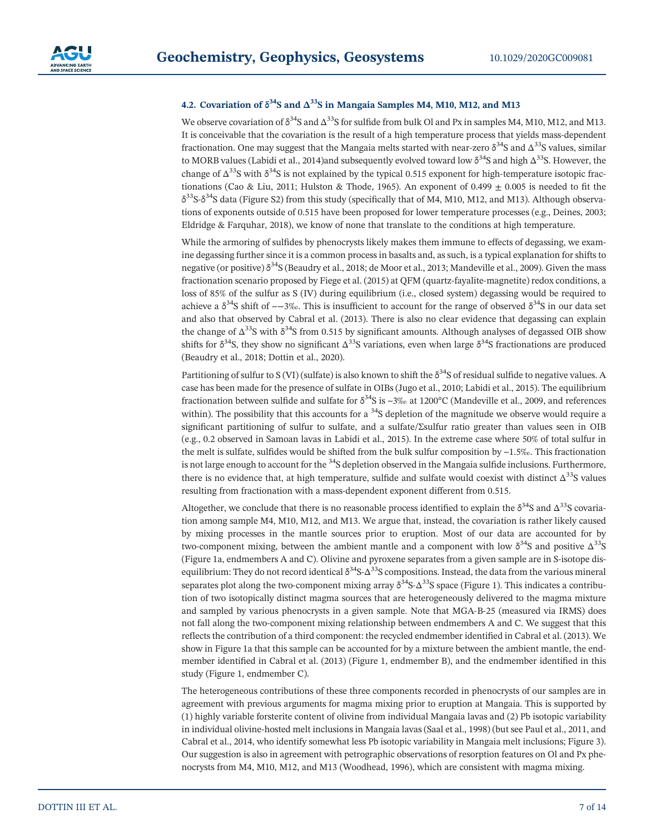#### **4.2. Covariation of**  $\delta^{34}S$  and  $\Delta^{33}S$  in Mangaia Samples M4, M10, M12, and M13

We observe covariation of  $\delta^{34}S$  and  $\Delta^{33}S$  for sulfide from bulk Ol and Px in samples M4, M10, M12, and M13. It is conceivable that the covariation is the result of a high temperature process that yields mass‐dependent fractionation. One may suggest that the Mangaia melts started with near-zero  $\delta^{34}S$  and  $\Delta^{33}S$  values, similar to MORB values (Labidi et al., 2014)and subsequently evolved toward low  $\delta^{34}S$  and high  $\Delta^{33}S$ . However, the change of  $\Delta^{33}S$  with  $\delta^{34}S$  is not explained by the typical 0.515 exponent for high-temperature isotopic fractionations (Cao & Liu, 2011; Hulston & Thode, 1965). An exponent of 0.499  $\pm$  0.005 is needed to fit the  $\delta^{33}$ S- $\delta^{34}$ S data (Figure S2) from this study (specifically that of M4, M10, M12, and M13). Although observations of exponents outside of 0.515 have been proposed for lower temperature processes (e.g., Deines, 2003; Eldridge & Farquhar, 2018), we know of none that translate to the conditions at high temperature.

While the armoring of sulfides by phenocrysts likely makes them immune to effects of degassing, we examine degassing further since it is a common process in basalts and, as such, is a typical explanation for shifts to negative (or positive)  $\delta^{34}$ S (Beaudry et al., 2018; de Moor et al., 2013; Mandeville et al., 2009). Given the mass fractionation scenario proposed by Fiege et al. (2015) at OFM (quartz-fayalite-magnetite) redox conditions, a loss of 85% of the sulfur as S (IV) during equilibrium (i.e., closed system) degassing would be required to achieve a  $\delta^{34}$ S shift of ~−3‰. This is insufficient to account for the range of observed  $\delta^{34}$ S in our data set and also that observed by Cabral et al. (2013). There is also no clear evidence that degassing can explain the change of  $\Delta^{33}$ S with  $\delta^{34}$ S from 0.515 by significant amounts. Although analyses of degassed OIB show shifts for  $\delta^{34}$ S, they show no significant  $\Delta^{33}$ S variations, even when large  $\delta^{34}$ S fractionations are produced (Beaudry et al., 2018; Dottin et al., 2020).

Partitioning of sulfur to S (VI) (sulfate) is also known to shift the  $\delta^{34}S$  of residual sulfide to negative values. A case has been made for the presence of sulfate in OIBs (Jugo et al., 2010; Labidi et al., 2015). The equilibrium fractionation between sulfide and sulfate for  $\delta^{34}S$  is ~3‰ at 1200°C (Mandeville et al., 2009, and references within). The possibility that this accounts for a  $34S$  depletion of the magnitude we observe would require a significant partitioning of sulfur to sulfate, and a sulfate/Σsulfur ratio greater than values seen in OIB (e.g., 0.2 observed in Samoan lavas in Labidi et al., 2015). In the extreme case where 50% of total sulfur in the melt is sulfate, sulfides would be shifted from the bulk sulfur composition by  $\sim$ 1.5‰. This fractionation is not large enough to account for the <sup>34</sup>S depletion observed in the Mangaia sulfide inclusions. Furthermore, there is no evidence that, at high temperature, sulfide and sulfate would coexist with distinct  $\Delta^{33}$ S values resulting from fractionation with a mass-dependent exponent different from 0.515.

Altogether, we conclude that there is no reasonable process identified to explain the  $\delta^{34}S$  and  $\Delta^{33}S$  covariation among sample M4, M10, M12, and M13. We argue that, instead, the covariation is rather likely caused by mixing processes in the mantle sources prior to eruption. Most of our data are accounted for by two-component mixing, between the ambient mantle and a component with low  $\delta^{34}S$  and positive  $\Delta^{33}S$ (Figure 1a, endmembers A and C). Olivine and pyroxene separates from a given sample are in S‐isotope disequilibrium: They do not record identical  $\delta^{34}S-\Delta^{33}S$  compositions. Instead, the data from the various mineral separates plot along the two-component mixing array  $\delta^{34}S$ - $\Delta^{33}S$  space (Figure 1). This indicates a contribution of two isotopically distinct magma sources that are heterogeneously delivered to the magma mixture and sampled by various phenocrysts in a given sample. Note that MGA‐B‐25 (measured via IRMS) does not fall along the two‐component mixing relationship between endmembers A and C. We suggest that this reflects the contribution of a third component: the recycled endmember identified in Cabral et al. (2013). We show in Figure 1a that this sample can be accounted for by a mixture between the ambient mantle, the endmember identified in Cabral et al. (2013) (Figure 1, endmember B), and the endmember identified in this study (Figure 1, endmember C).

The heterogeneous contributions of these three components recorded in phenocrysts of our samples are in agreement with previous arguments for magma mixing prior to eruption at Mangaia. This is supported by (1) highly variable forsterite content of olivine from individual Mangaia lavas and (2) Pb isotopic variability in individual olivine‐hosted melt inclusions in Mangaia lavas (Saal et al., 1998) (but see Paul et al., 2011, and Cabral et al., 2014, who identify somewhat less Pb isotopic variability in Mangaia melt inclusions; Figure 3). Our suggestion is also in agreement with petrographic observations of resorption features on Ol and Px phenocrysts from M4, M10, M12, and M13 (Woodhead, 1996), which are consistent with magma mixing.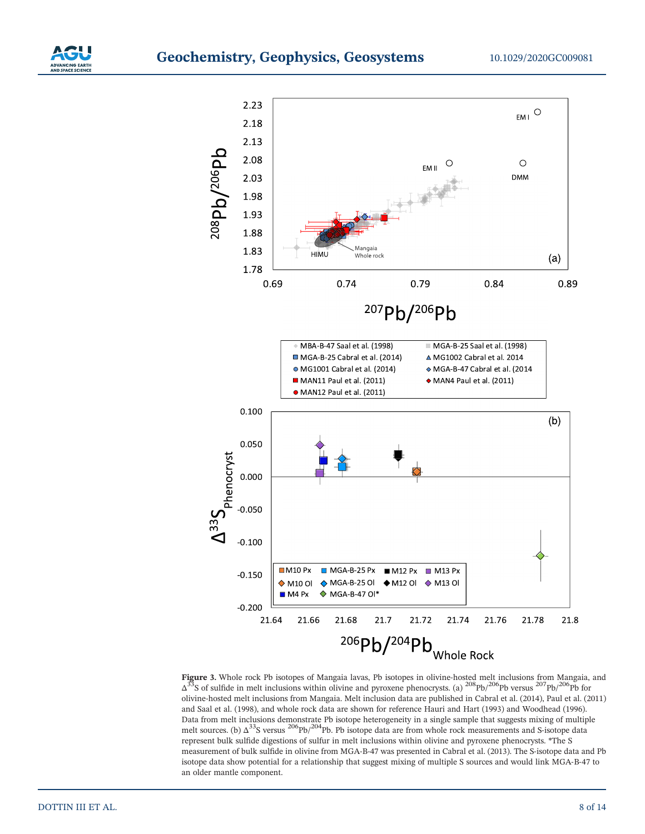



**Figure 3.** Whole rock Pb isotopes of Mangaia lavas, Pb isotopes in olivine‐hosted melt inclusions from Mangaia, and  $\Delta^{33}$ S of sulfide in melt inclusions within olivine and pyroxene phenocrysts. (a)  $^{208}$ Pb/<sup>206</sup>Pb versus  $^{207}$ Pb/<sup>206</sup>Pb for olivine‐hosted melt inclusions from Mangaia. Melt inclusion data are published in Cabral et al. (2014), Paul et al. (2011) and Saal et al. (1998), and whole rock data are shown for reference Hauri and Hart (1993) and Woodhead (1996). Data from melt inclusions demonstrate Pb isotope heterogeneity in a single sample that suggests mixing of multiple melt sources. (b) Δ<sup>33</sup>S versus <sup>206</sup>Pb/<sup>204</sup>Pb. Pb isotope data are from whole rock measurements and S-isotope data represent bulk sulfide digestions of sulfur in melt inclusions within olivine and pyroxene phenocrysts. \*The S measurement of bulk sulfide in olivine from MGA‐B‐47 was presented in Cabral et al. (2013). The S‐isotope data and Pb isotope data show potential for a relationship that suggest mixing of multiple S sources and would link MGA‐B‐47 to an older mantle component.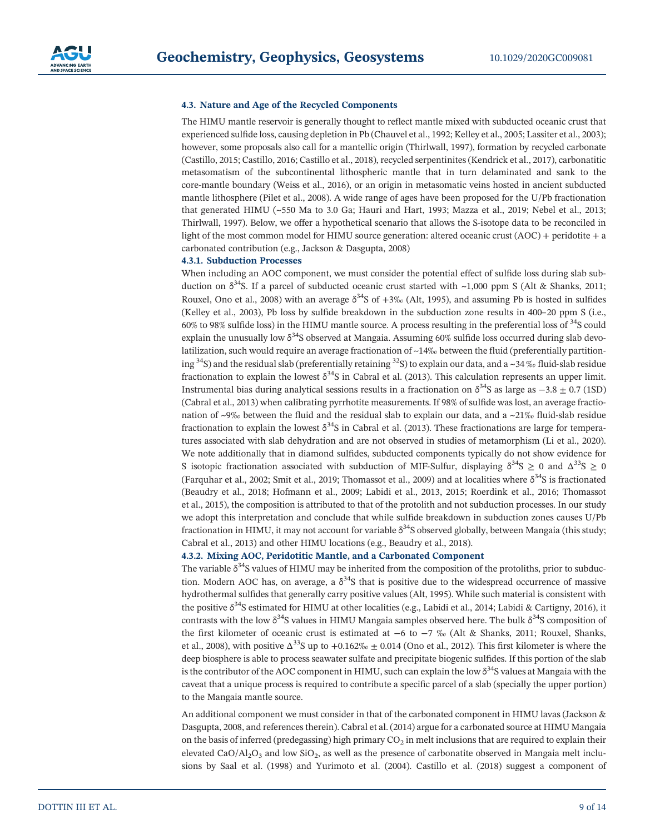

#### **4.3. Nature and Age of the Recycled Components**

The HIMU mantle reservoir is generally thought to reflect mantle mixed with subducted oceanic crust that experienced sulfide loss, causing depletion in Pb (Chauvel et al., 1992; Kelley et al., 2005; Lassiter et al., 2003); however, some proposals also call for a mantellic origin (Thirlwall, 1997), formation by recycled carbonate (Castillo, 2015; Castillo, 2016; Castillo et al., 2018), recycled serpentinites (Kendrick et al., 2017), carbonatitic metasomatism of the subcontinental lithospheric mantle that in turn delaminated and sank to the core-mantle boundary (Weiss et al., 2016), or an origin in metasomatic veins hosted in ancient subducted mantle lithosphere (Pilet et al., 2008). A wide range of ages have been proposed for the U/Pb fractionation that generated HIMU (~550 Ma to 3.0 Ga; Hauri and Hart, 1993; Mazza et al., 2019; Nebel et al., 2013; Thirlwall, 1997). Below, we offer a hypothetical scenario that allows the S‐isotope data to be reconciled in light of the most common model for HIMU source generation: altered oceanic crust (AOC) + peridotite + a carbonated contribution (e.g., Jackson & Dasgupta, 2008)

#### **4.3.1. Subduction Processes**

When including an AOC component, we must consider the potential effect of sulfide loss during slab subduction on  $\delta^{34}$ S. If a parcel of subducted oceanic crust started with ~1,000 ppm S (Alt & Shanks, 2011; Rouxel, Ono et al., 2008) with an average  $\delta^{34}S$  of +3‰ (Alt, 1995), and assuming Pb is hosted in sulfides (Kelley et al., 2003), Pb loss by sulfide breakdown in the subduction zone results in 400–20 ppm S (i.e., 60% to 98% sulfide loss) in the HIMU mantle source. A process resulting in the preferential loss of 34S could explain the unusually low  $\delta^{34}S$  observed at Mangaia. Assuming 60% sulfide loss occurred during slab devolatilization, such would require an average fractionation of ~14‰ between the fluid (preferentially partitioning  $34$ S) and the residual slab (preferentially retaining  $32$ S) to explain our data, and a ~34 ‰ fluid-slab residue fractionation to explain the lowest  $\delta^{34}S$  in Cabral et al. (2013). This calculation represents an upper limit. Instrumental bias during analytical sessions results in a fractionation on  $\delta^{34}S$  as large as −3.8 ± 0.7 (1SD) (Cabral et al., 2013) when calibrating pyrrhotite measurements. If 98% of sulfide was lost, an average fractionation of ~9‰ between the fluid and the residual slab to explain our data, and a ~21‰ fluid-slab residue fractionation to explain the lowest  $\delta^{34}S$  in Cabral et al. (2013). These fractionations are large for temperatures associated with slab dehydration and are not observed in studies of metamorphism (Li et al., 2020). We note additionally that in diamond sulfides, subducted components typically do not show evidence for S isotopic fractionation associated with subduction of MIF-Sulfur, displaying  $\delta^{34}S \ge 0$  and  $\Delta^{33}S \ge 0$ (Farquhar et al., 2002; Smit et al., 2019; Thomassot et al., 2009) and at localities where  $\delta^{34}$ S is fractionated (Beaudry et al., 2018; Hofmann et al., 2009; Labidi et al., 2013, 2015; Roerdink et al., 2016; Thomassot et al., 2015), the composition is attributed to that of the protolith and not subduction processes. In our study we adopt this interpretation and conclude that while sulfide breakdown in subduction zones causes U/Pb fractionation in HIMU, it may not account for variable  $\delta^{34}S$  observed globally, between Mangaia (this study; Cabral et al., 2013) and other HIMU locations (e.g., Beaudry et al., 2018).

#### **4.3.2. Mixing AOC, Peridotitic Mantle, and a Carbonated Component**

The variable  $\delta^{34}S$  values of HIMU may be inherited from the composition of the protoliths, prior to subduction. Modern AOC has, on average, a  $\delta^{34}S$  that is positive due to the widespread occurrence of massive hydrothermal sulfides that generally carry positive values (Alt, 1995). While such material is consistent with the positive  $\delta^{34}$ S estimated for HIMU at other localities (e.g., Labidi et al., 2014; Labidi & Cartigny, 2016), it contrasts with the low  $\delta^{34}$ S values in HIMU Mangaia samples observed here. The bulk  $\delta^{34}$ S composition of the first kilometer of oceanic crust is estimated at −6 to −7 ‰ (Alt & Shanks, 2011; Rouxel, Shanks, et al., 2008), with positive  $\Delta^{33}S$  up to +0.162‰  $\pm$  0.014 (Ono et al., 2012). This first kilometer is where the deep biosphere is able to process seawater sulfate and precipitate biogenic sulfides. If this portion of the slab is the contributor of the AOC component in HIMU, such can explain the low  $\delta^{34}$ S values at Mangaia with the caveat that a unique process is required to contribute a specific parcel of a slab (specially the upper portion) to the Mangaia mantle source.

An additional component we must consider in that of the carbonated component in HIMU lavas (Jackson & Dasgupta, 2008, and references therein). Cabral et al. (2014) argue for a carbonated source at HIMU Mangaia on the basis of inferred (predegassing) high primary  $CO<sub>2</sub>$  in melt inclusions that are required to explain their elevated CaO/Al<sub>2</sub>O<sub>3</sub> and low SiO<sub>2</sub>, as well as the presence of carbonatite observed in Mangaia melt inclusions by Saal et al. (1998) and Yurimoto et al. (2004). Castillo et al. (2018) suggest a component of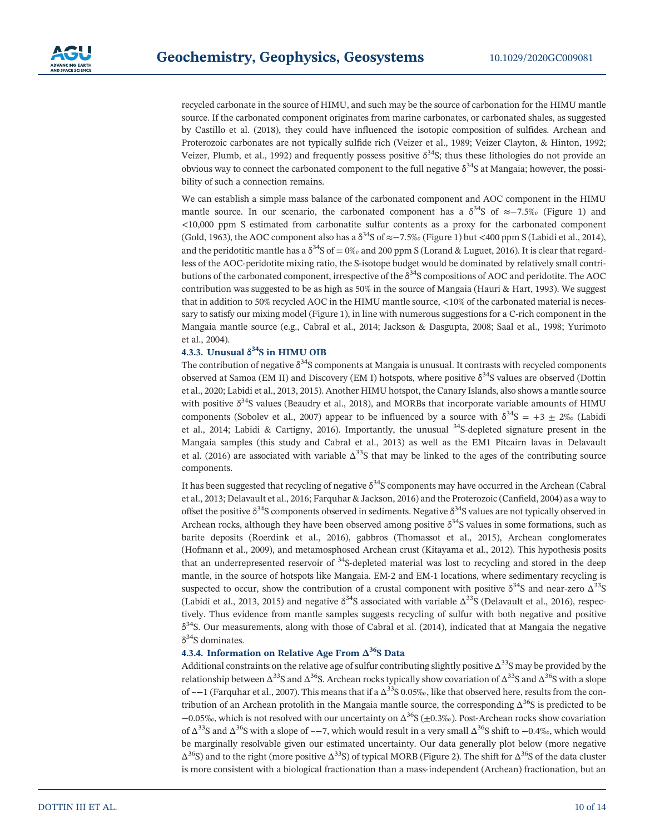recycled carbonate in the source of HIMU, and such may be the source of carbonation for the HIMU mantle source. If the carbonated component originates from marine carbonates, or carbonated shales, as suggested by Castillo et al. (2018), they could have influenced the isotopic composition of sulfides. Archean and Proterozoic carbonates are not typically sulfide rich (Veizer et al., 1989; Veizer Clayton, & Hinton, 1992; Veizer, Plumb, et al., 1992) and frequently possess positive  $\delta^{34}S$ ; thus these lithologies do not provide an obvious way to connect the carbonated component to the full negative  $\delta^{34}S$  at Mangaia; however, the possibility of such a connection remains.

We can establish a simple mass balance of the carbonated component and AOC component in the HIMU mantle source. In our scenario, the carbonated component has a  $\delta^{34}S$  of ≈−7.5‰ (Figure 1) and <10,000 ppm S estimated from carbonatite sulfur contents as a proxy for the carbonated component (Gold, 1963), the AOC component also has a δ<sup>34</sup>S of ≈−7.5‰ (Figure 1) but <400 ppm S (Labidi et al., 2014), and the peridotitic mantle has a  $\delta^{34}S$  of = 0‰ and 200 ppm S (Lorand & Luguet, 2016). It is clear that regardless of the AOC‐peridotite mixing ratio, the S‐isotope budget would be dominated by relatively small contributions of the carbonated component, irrespective of the  $\delta^{34}S$  compositions of AOC and peridotite. The AOC contribution was suggested to be as high as 50% in the source of Mangaia (Hauri & Hart, 1993). We suggest that in addition to 50% recycled AOC in the HIMU mantle source, <10% of the carbonated material is necessary to satisfy our mixing model (Figure 1), in line with numerous suggestions for a C-rich component in the Mangaia mantle source (e.g., Cabral et al., 2014; Jackson & Dasgupta, 2008; Saal et al., 1998; Yurimoto et al., 2004).

#### **4.3.3. Unusual δ34S in HIMU OIB**

The contribution of negative  $\delta^{34}S$  components at Mangaia is unusual. It contrasts with recycled components observed at Samoa (EM II) and Discovery (EM I) hotspots, where positive  $\delta^{34}$ S values are observed (Dottin et al., 2020; Labidi et al., 2013, 2015). Another HIMU hotspot, the Canary Islands, also shows a mantle source with positive  $\delta^{34}$ S values (Beaudry et al., 2018), and MORBs that incorporate variable amounts of HIMU components (Sobolev et al., 2007) appear to be influenced by a source with  $\delta^{34}S = +3 \pm 2\%$  (Labidi et al., 2014; Labidi & Cartigny, 2016). Importantly, the unusual <sup>34</sup>S-depleted signature present in the Mangaia samples (this study and Cabral et al., 2013) as well as the EM1 Pitcairn lavas in Delavault et al. (2016) are associated with variable  $\Delta^{33}S$  that may be linked to the ages of the contributing source components.

It has been suggested that recycling of negative  $\delta^{34}S$  components may have occurred in the Archean (Cabral et al., 2013; Delavault et al., 2016; Farquhar & Jackson, 2016) and the Proterozoic (Canfield, 2004) as a way to offset the positive  $\delta^{34}S$  components observed in sediments. Negative  $\delta^{34}S$  values are not typically observed in Archean rocks, although they have been observed among positive  $\delta^{34}S$  values in some formations, such as barite deposits (Roerdink et al., 2016), gabbros (Thomassot et al., 2015), Archean conglomerates (Hofmann et al., 2009), and metamosphosed Archean crust (Kitayama et al., 2012). This hypothesis posits that an underrepresented reservoir of <sup>34</sup>S-depleted material was lost to recycling and stored in the deep mantle, in the source of hotspots like Mangaia. EM‐2 and EM‐1 locations, where sedimentary recycling is suspected to occur, show the contribution of a crustal component with positive  $\delta^{34}$ S and near-zero  $\Delta^{33}$ S (Labidi et al., 2013, 2015) and negative  $\delta^{34}S$  associated with variable  $\Delta^{33}S$  (Delavault et al., 2016), respectively. Thus evidence from mantle samples suggests recycling of sulfur with both negative and positive  $\delta^{34}$ S. Our measurements, along with those of Cabral et al. (2014), indicated that at Mangaia the negative  $δ<sup>34</sup>S$  dominates.

#### **4.3.4. Information on Relative Age From Δ36S Data**

Additional constraints on the relative age of sulfur contributing slightly positive  $\Delta^{33}S$  may be provided by the relationship between  $\Delta^{33}$ S and  $\Delta^{36}$ S. Archean rocks typically show covariation of  $\Delta^{33}$ S and  $\Delta^{36}$ S with a slope of  $\sim$ −1 (Farquhar et al., 2007). This means that if a  $\Delta^{33}S$  0.05‰, like that observed here, results from the contribution of an Archean protolith in the Mangaia mantle source, the corresponding  $\Delta^{36}S$  is predicted to be −0.05‰, which is not resolved with our uncertainty on Δ36S (±0.3‰). Post‐Archean rocks show covariation of  $\Delta^{33}$ S and  $\Delta^{36}$ S with a slope of ~−7, which would result in a very small  $\Delta^{36}$ S shift to −0.4‰, which would be marginally resolvable given our estimated uncertainty. Our data generally plot below (more negative  $\Delta^{36}$ S) and to the right (more positive  $\Delta^{33}$ S) of typical MORB (Figure 2). The shift for  $\Delta^{36}$ S of the data cluster is more consistent with a biological fractionation than a mass-independent (Archean) fractionation, but an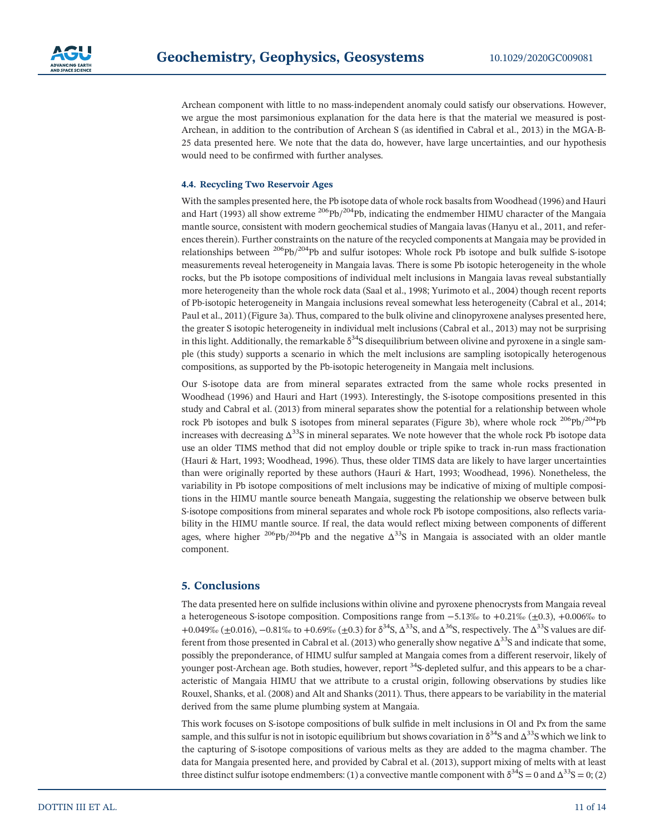

Archean component with little to no mass-independent anomaly could satisfy our observations. However, we argue the most parsimonious explanation for the data here is that the material we measured is post-Archean, in addition to the contribution of Archean S (as identified in Cabral et al., 2013) in the MGA-B-25 data presented here. We note that the data do, however, have large uncertainties, and our hypothesis would need to be confirmed with further analyses.

#### **4.4. Recycling Two Reservoir Ages**

With the samples presented here, the Pb isotope data of whole rock basalts from Woodhead (1996) and Hauri and Hart (1993) all show extreme  $^{206}Pb/^{204}Pb$ , indicating the endmember HIMU character of the Mangaia mantle source, consistent with modern geochemical studies of Mangaia lavas (Hanyu et al., 2011, and references therein). Further constraints on the nature of the recycled components at Mangaia may be provided in relationships between  $^{206}Pb/^{204}Pb$  and sulfur isotopes: Whole rock Pb isotope and bulk sulfide S-isotope measurements reveal heterogeneity in Mangaia lavas. There is some Pb isotopic heterogeneity in the whole rocks, but the Pb isotope compositions of individual melt inclusions in Mangaia lavas reveal substantially more heterogeneity than the whole rock data (Saal et al., 1998; Yurimoto et al., 2004) though recent reports of Pb‐isotopic heterogeneity in Mangaia inclusions reveal somewhat less heterogeneity (Cabral et al., 2014; Paul et al., 2011) (Figure 3a). Thus, compared to the bulk olivine and clinopyroxene analyses presented here, the greater S isotopic heterogeneity in individual melt inclusions (Cabral et al., 2013) may not be surprising in this light. Additionally, the remarkable  $\delta^{34}S$  disequilibrium between olivine and pyroxene in a single sample (this study) supports a scenario in which the melt inclusions are sampling isotopically heterogenous compositions, as supported by the Pb‐isotopic heterogeneity in Mangaia melt inclusions.

Our S‐isotope data are from mineral separates extracted from the same whole rocks presented in Woodhead (1996) and Hauri and Hart (1993). Interestingly, the S‐isotope compositions presented in this study and Cabral et al. (2013) from mineral separates show the potential for a relationship between whole rock Pb isotopes and bulk S isotopes from mineral separates (Figure 3b), where whole rock  $^{206}Pb/^{204}Pb$ increases with decreasing  $\Delta^{33}S$  in mineral separates. We note however that the whole rock Pb isotope data use an older TIMS method that did not employ double or triple spike to track in‐run mass fractionation (Hauri & Hart, 1993; Woodhead, 1996). Thus, these older TIMS data are likely to have larger uncertainties than were originally reported by these authors (Hauri & Hart, 1993; Woodhead, 1996). Nonetheless, the variability in Pb isotope compositions of melt inclusions may be indicative of mixing of multiple compositions in the HIMU mantle source beneath Mangaia, suggesting the relationship we observe between bulk S-isotope compositions from mineral separates and whole rock Pb isotope compositions, also reflects variability in the HIMU mantle source. If real, the data would reflect mixing between components of different ages, where higher  $^{206}Pb/^{204}Pb$  and the negative  $\Delta^{33}S$  in Mangaia is associated with an older mantle component.

#### **5. Conclusions**

The data presented here on sulfide inclusions within olivine and pyroxene phenocrysts from Mangaia reveal a heterogeneous S‐isotope composition. Compositions range from −5.13‰ to +0.21‰ (±0.3), +0.006‰ to +0.049‰ ( $\pm$ 0.016), -0.81‰ to +0.69‰ ( $\pm$ 0.3) for  $\delta^{34}$ S,  $\Delta^{33}$ S, and  $\Delta^{36}$ S, respectively. The  $\Delta^{33}$ S values are different from those presented in Cabral et al. (2013) who generally show negative  $\Delta^{33}S$  and indicate that some, possibly the preponderance, of HIMU sulfur sampled at Mangaia comes from a different reservoir, likely of younger post-Archean age. Both studies, however, report <sup>34</sup>S-depleted sulfur, and this appears to be a characteristic of Mangaia HIMU that we attribute to a crustal origin, following observations by studies like Rouxel, Shanks, et al. (2008) and Alt and Shanks (2011). Thus, there appears to be variability in the material derived from the same plume plumbing system at Mangaia.

This work focuses on S‐isotope compositions of bulk sulfide in melt inclusions in Ol and Px from the same sample, and this sulfur is not in isotopic equilibrium but shows covariation in  $\delta^{34}S$  and  $\Delta^{33}S$  which we link to the capturing of S‐isotope compositions of various melts as they are added to the magma chamber. The data for Mangaia presented here, and provided by Cabral et al. (2013), support mixing of melts with at least three distinct sulfur isotope endmembers: (1) a convective mantle component with  $\delta^{34}S = 0$  and  $\Delta^{33}S = 0$ ; (2)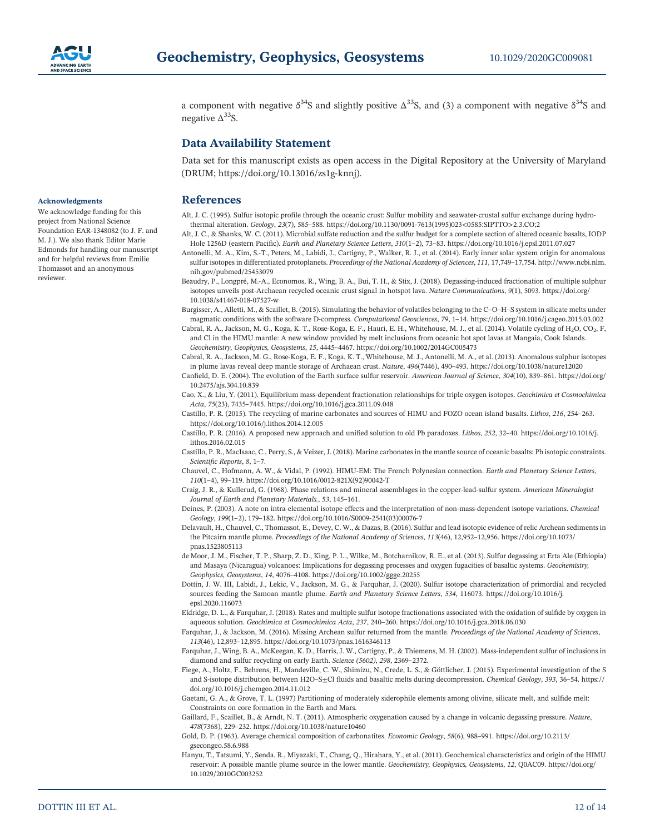

a component with negative  $\delta^{34}S$  and slightly positive  $\Delta^{33}S$ , and (3) a component with negative  $\delta^{34}S$  and negative  $\Delta^{33}$ S.

#### **Data Availability Statement**

Data set for this manuscript exists as open access in the Digital Repository at the University of Maryland (DRUM; [https://doi.org/10.13016/zs1g](https://doi.org/10.13016/zs1g-knnj)‐knnj).

#### **References**

Alt, J. C. (1995). Sulfur isotopic profile through the oceanic crust: Sulfur mobility and seawater‐crustal sulfur exchange during hydrothermal alteration. *Geology*, *23*(7), 585–588. https://doi.org/10.1130/0091‐[7613\(1995\)023<0585:SIPTTO>2.3.CO;2](https://doi.org/10.1130/0091--7613(1995)023%3C0585:SIPTTO%3E2.3.CO;2)

Alt, J. C., & Shanks, W. C. (2011). Microbial sulfate reduction and the sulfur budget for a complete section of altered oceanic basalts, IODP Hole 1256D (eastern Pacific). *Earth and Planetary Science Letters*, *310*(1–2), 73–83.<https://doi.org/10.1016/j.epsl.2011.07.027>

- Antonelli, M. A., Kim, S.‐T., Peters, M., Labidi, J., Cartigny, P., Walker, R. J., et al. (2014). Early inner solar system origin for anomalous sulfur isotopes in differentiated protoplanets. *Proceedings of the National Academy of Sciences*, *111*, 17,749–17,754. [http://www.ncbi.nlm.](http://www.ncbi.nlm.nih.gov/pubmed/25453079) [nih.gov/pubmed/25453079](http://www.ncbi.nlm.nih.gov/pubmed/25453079)
- Beaudry, P., Longpré, M.‐A., Economos, R., Wing, B. A., Bui, T. H., & Stix, J. (2018). Degassing‐induced fractionation of multiple sulphur isotopes unveils post‐Archaean recycled oceanic crust signal in hotspot lava. *Nature Communications*, *9*(1), 5093. [https://doi.org/](https://doi.org/10.1038/s41467-018-07527-w) [10.1038/s41467](https://doi.org/10.1038/s41467-018-07527-w)‐018‐07527‐w
- Burgisser, A., Alletti, M., & Scaillet, B. (2015). Simulating the behavior of volatiles belonging to the C–O–H–S system in silicate melts under magmatic conditions with the software D‐compress. *Computational Geosciences*, *79*, 1–14.<https://doi.org/10.1016/j.cageo.2015.03.002>
- Cabral, R. A., Jackson, M. G., Koga, K. T., Rose-Koga, E. F., Hauri, E. H., Whitehouse, M. J., et al. (2014). Volatile cycling of H<sub>2</sub>O, CO<sub>2</sub>, F. and Cl in the HIMU mantle: A new window provided by melt inclusions from oceanic hot spot lavas at Mangaia, Cook Islands. *Geochemistry, Geophysics, Geosystems*, *15*, 4445–4467.<https://doi.org/10.1002/2014GC005473>

Cabral, R. A., Jackson, M. G., Rose‐Koga, E. F., Koga, K. T., Whitehouse, M. J., Antonelli, M. A., et al. (2013). Anomalous sulphur isotopes in plume lavas reveal deep mantle storage of Archaean crust. *Nature*, *496*(7446), 490–493.<https://doi.org/10.1038/nature12020>

Canfield, D. E. (2004). The evolution of the Earth surface sulfur reservoir. *American Journal of Science*, *304*(10), 839–861. [https://doi.org/](https://doi.org/10.2475/ajs.304.10.839) [10.2475/ajs.304.10.839](https://doi.org/10.2475/ajs.304.10.839)

Cao, X., & Liu, Y. (2011). Equilibrium mass‐dependent fractionation relationships for triple oxygen isotopes. *Geochimica et Cosmochimica Acta*, *75*(23), 7435–7445.<https://doi.org/10.1016/j.gca.2011.09.048>

Castillo, P. R. (2015). The recycling of marine carbonates and sources of HIMU and FOZO ocean island basalts. *Lithos*, *216*, 254–263. <https://doi.org/10.1016/j.lithos.2014.12.005>

Castillo, P. R. (2016). A proposed new approach and unified solution to old Pb paradoxes. *Lithos*, *252*, 32–40. [https://doi.org/10.1016/j.](https://doi.org/10.1016/j.lithos.2016.02.015) [lithos.2016.02.015](https://doi.org/10.1016/j.lithos.2016.02.015)

Castillo, P. R., MacIsaac, C., Perry, S., & Veizer, J. (2018). Marine carbonates in the mantle source of oceanic basalts: Pb isotopic constraints. *Scientific Reports*, *8*, 1–7.

Chauvel, C., Hofmann, A. W., & Vidal, P. (1992). HIMU‐EM: The French Polynesian connection. *Earth and Planetary Science Letters*, *110*(1–4), 99–119. [https://doi.org/10.1016/0012](https://doi.org/10.1016/0012-821X(92)90042-T)‐821X(92)90042‐T

Craig, J. R., & Kullerud, G. (1968). Phase relations and mineral assemblages in the copper‐lead‐sulfur system. *American Mineralogist Journal of Earth and Planetary Materials.*, *53*, 145–161.

Deines, P. (2003). A note on intra‐elemental isotope effects and the interpretation of non‐mass‐dependent isotope variations. *Chemical Geology*, *199*(1–2), 179–182. [https://doi.org/10.1016/S0009](https://doi.org/10.1016/S0009-2541(03)00076-7)‐2541(03)00076‐7

Delavault, H., Chauvel, C., Thomassot, E., Devey, C. W., & Dazas, B. (2016). Sulfur and lead isotopic evidence of relic Archean sediments in the Pitcairn mantle plume. *Proceedings of the National Academy of Sciences*, *113*(46), 12,952–12,956. [https://doi.org/10.1073/](https://doi.org/10.1073/pnas.1523805113) [pnas.1523805113](https://doi.org/10.1073/pnas.1523805113)

- de Moor, J. M., Fischer, T. P., Sharp, Z. D., King, P. L., Wilke, M., Botcharnikov, R. E., et al. (2013). Sulfur degassing at Erta Ale (Ethiopia) and Masaya (Nicaragua) volcanoes: Implications for degassing processes and oxygen fugacities of basaltic systems. *Geochemistry, Geophysics, Geosystems*, *14*, 4076–4108.<https://doi.org/10.1002/ggge.20255>
- Dottin, J. W. III, Labidi, J., Lekic, V., Jackson, M. G., & Farquhar, J. (2020). Sulfur isotope characterization of primordial and recycled sources feeding the Samoan mantle plume. *Earth and Planetary Science Letters*, *534*, 116073. [https://doi.org/10.1016/j.](https://doi.org/10.1016/j.epsl.2020.116073) [epsl.2020.116073](https://doi.org/10.1016/j.epsl.2020.116073)
- Eldridge, D. L., & Farquhar, J. (2018). Rates and multiple sulfur isotope fractionations associated with the oxidation of sulfide by oxygen in aqueous solution. *Geochimica et Cosmochimica Acta*, *237*, 240–260.<https://doi.org/10.1016/j.gca.2018.06.030>

Farquhar, J., & Jackson, M. (2016). Missing Archean sulfur returned from the mantle. *Proceedings of the National Academy of Sciences*, *113*(46), 12,893–12,895.<https://doi.org/10.1073/pnas.1616346113>

Farquhar, J., Wing, B. A., McKeegan, K. D., Harris, J. W., Cartigny, P., & Thiemens, M. H. (2002). Mass-independent sulfur of inclusions in diamond and sulfur recycling on early Earth. *Science (5602)*, *298*, 2369–2372.

Fiege, A., Holtz, F., Behrens, H., Mandeville, C. W., Shimizu, N., Crede, L. S., & Göttlicher, J. (2015). Experimental investigation of the S and S‐isotope distribution between H2O–S±Cl fluids and basaltic melts during decompression. *Chemical Geology*, *393*, 36–54. [https://](https://doi.org/10.1016/j.chemgeo.2014.11.012) [doi.org/10.1016/j.chemgeo.2014.11.012](https://doi.org/10.1016/j.chemgeo.2014.11.012)

Gaetani, G. A., & Grove, T. L. (1997) Partitioning of moderately siderophile elements among olivine, silicate melt, and sulfide melt: Constraints on core formation in the Earth and Mars.

Gaillard, F., Scaillet, B., & Arndt, N. T. (2011). Atmospheric oxygenation caused by a change in volcanic degassing pressure. *Nature*, *478*(7368), 229–232.<https://doi.org/10.1038/nature10460>

Gold, D. P. (1963). Average chemical composition of carbonatites. *Economic Geology*, *58*(6), 988–991. [https://doi.org/10.2113/](https://doi.org/10.2113/gsecongeo.58.6.988) [gsecongeo.58.6.988](https://doi.org/10.2113/gsecongeo.58.6.988)

Hanyu, T., Tatsumi, Y., Senda, R., Miyazaki, T., Chang, Q., Hirahara, Y., et al. (2011). Geochemical characteristics and origin of the HIMU reservoir: A possible mantle plume source in the lower mantle. *Geochemistry, Geophysics, Geosystems*, *12*, Q0AC09. [https://doi.org/](https://doi.org/10.1029/2010GC003252) [10.1029/2010GC003252](https://doi.org/10.1029/2010GC003252)

#### **Acknowledgments**

We acknowledge funding for this project from National Science Foundation EAR‐1348082 (to J. F. and M. J.). We also thank Editor Marie Edmonds for handling our manuscript and for helpful reviews from Emilie Thomassot and an anonymous reviewer.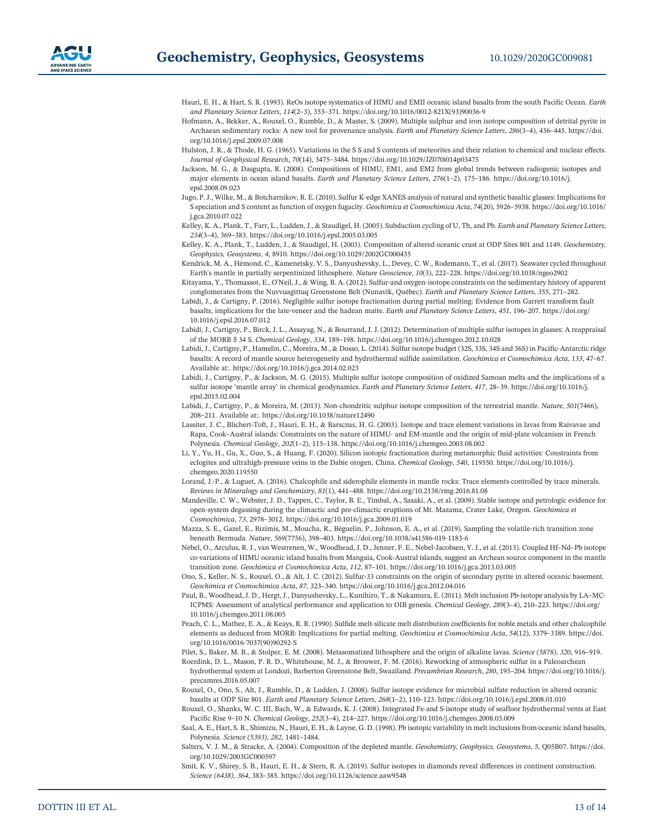

- Hauri, E. H., & Hart, S. R. (1993). ReOs isotope systematics of HIMU and EMII oceanic island basalts from the south Pacific Ocean. *Earth and Planetary Science Letters*, *114*(2–3), 353–371. [https://doi.org/10.1016/0012](https://doi.org/10.1016/0012-821X(93)90036-9)‐821X(93)90036‐9
- Hofmann, A., Bekker, A., Rouxel, O., Rumble, D., & Master, S. (2009). Multiple sulphur and iron isotope composition of detrital pyrite in Archaean sedimentary rocks: A new tool for provenance analysis. *Earth and Planetary Science Letters*, *286*(3–4), 436–445. [https://doi.](https://doi.org/10.1016/j.epsl.2009.07.008) [org/10.1016/j.epsl.2009.07.008](https://doi.org/10.1016/j.epsl.2009.07.008)
- Hulston, J. R., & Thode, H. G. (1965). Variations in the S S and S contents of meteorites and their relation to chemical and nuclear effects. *Journal of Geophysical Research*, *70*(14), 3475–3484.<https://doi.org/10.1029/JZ070i014p03475>
- Jackson, M. G., & Dasgupta, R. (2008). Compositions of HIMU, EM1, and EM2 from global trends between radiogenic isotopes and major elements in ocean island basalts. *Earth and Planetary Science Letters*, *276*(1–2), 175–186. [https://doi.org/10.1016/j.](https://doi.org/10.1016/j.epsl.2008.09.023) [epsl.2008.09.023](https://doi.org/10.1016/j.epsl.2008.09.023)
- Jugo, P. J., Wilke, M., & Botcharnikov, R. E. (2010). Sulfur K‐edge XANES analysis of natural and synthetic basaltic glasses: Implications for S speciation and S content as function of oxygen fugacity. *Geochimica et Cosmochimica Acta*, *74*(20), 5926–5938. [https://doi.org/10.1016/](https://doi.org/10.1016/j.gca.2010.07.022) [j.gca.2010.07.022](https://doi.org/10.1016/j.gca.2010.07.022)
- Kelley, K. A., Plank, T., Farr, L., Ludden, J., & Staudigel, H. (2005). Subduction cycling of U, Th, and Pb. *Earth and Planetary Science Letters*, *234*(3–4), 369–383.<https://doi.org/10.1016/j.epsl.2005.03.005>

Kelley, K. A., Plank, T., Ludden, J., & Staudigel, H. (2003). Composition of altered oceanic crust at ODP Sites 801 and 1149. *Geochemistry, Geophysics, Geosystems*, *4*, 8910.<https://doi.org/10.1029/2002GC000435>

- Kendrick, M. A., Hémond, C., Kamenetsky, V. S., Danyushevsky, L., Devey, C. W., Rodemann, T., et al. (2017). Seawater cycled throughout Earth's mantle in partially serpentinized lithosphere. *Nature Geoscience*, *10*(3), 222–228.<https://doi.org/10.1038/ngeo2902>
- Kitayama, Y., Thomassot, E., O'Neil, J., & Wing, B. A. (2012). Sulfur-and oxygen-isotope constraints on the sedimentary history of apparent conglomerates from the Nuvvuagittuq Greenstone Belt (Nunavik, Québec). *Earth and Planetary Science Letters*, *355*, 271–282.
- Labidi, J., & Cartigny, P. (2016). Negligible sulfur isotope fractionation during partial melting: Evidence from Garrett transform fault basalts, implications for the late‐veneer and the hadean matte. *Earth and Planetary Science Letters*, *451*, 196–207. [https://doi.org/](https://doi.org/10.1016/j.epsl.2016.07.012) [10.1016/j.epsl.2016.07.012](https://doi.org/10.1016/j.epsl.2016.07.012)
- Labidi, J., Cartigny, P., Birck, J. L., Assayag, N., & Bourrand, J. J. (2012). Determination of multiple sulfur isotopes in glasses: A reappraisal of the MORB δ 34 S. *Chemical Geology*, *334*, 189–198.<https://doi.org/10.1016/j.chemgeo.2012.10.028>
- Labidi, J., Cartigny, P., Hamelin, C., Moreira, M., & Dosso, L. (2014). Sulfur isotope budget (32S, 33S, 34S and 36S) in Pacific‐Antarctic ridge basalts: A record of mantle source heterogeneity and hydrothermal sulfide assimilation. *Geochimica et Cosmochimica Acta*, *133*, 47–67. Available at:.<https://doi.org/10.1016/j.gca.2014.02.023>
- Labidi, J., Cartigny, P., & Jackson, M. G. (2015). Multiple sulfur isotope composition of oxidized Samoan melts and the implications of a sulfur isotope 'mantle array' in chemical geodynamics. *Earth and Planetary Science Letters*, *417*, 28–39. [https://doi.org/10.1016/j.](https://doi.org/10.1016/j.epsl.2015.02.004) [epsl.2015.02.004](https://doi.org/10.1016/j.epsl.2015.02.004)
- Labidi, J., Cartigny, P., & Moreira, M. (2013). Non‐chondritic sulphur isotope composition of the terrestrial mantle. *Nature*, *501*(7466), 208–211. Available at:.<https://doi.org/10.1038/nature12490>
- Lassiter, J. C., Blichert-Toft, J., Hauri, E. H., & Barsczus, H. G. (2003). Isotope and trace element variations in lavas from Raivavae and Rapa, Cook–Austral islands: Constraints on the nature of HIMU‐ and EM‐mantle and the origin of mid‐plate volcanism in French Polynesia. *Chemical Geology*, *202*(1–2), 115–138.<https://doi.org/10.1016/j.chemgeo.2003.08.002>
- Li, Y., Yu, H., Gu, X., Guo, S., & Huang, F. (2020). Silicon isotopic fractionation during metamorphic fluid activities: Constraints from eclogites and ultrahigh‐pressure veins in the Dabie orogen, China. *Chemical Geology*, *540*, 119550. [https://doi.org/10.1016/j.](https://doi.org/10.1016/j.chemgeo.2020.119550) [chemgeo.2020.119550](https://doi.org/10.1016/j.chemgeo.2020.119550)
- Lorand, J.-P., & Luguet, A. (2016). Chalcophile and siderophile elements in mantle rocks: Trace elements controlled by trace minerals. *Reviews in Mineralogy and Geochemistry*, *81*(1), 441–488.<https://doi.org/10.2138/rmg.2016.81.08>
- Mandeville, C. W., Webster, J. D., Tappen, C., Taylor, B. E., Timbal, A., Sasaki, A., et al. (2009). Stable isotope and petrologic evidence for open‐system degassing during the climactic and pre‐climactic eruptions of Mt. Mazama, Crater Lake, Oregon. *Geochimica et Cosmochimica*, *73*, 2978–3012.<https://doi.org/10.1016/j.gca.2009.01.019>
- Mazza, S. E., Gazel, E., Bizimis, M., Moucha, R., Béguelin, P., Johnson, E. A., et al. (2019). Sampling the volatile‐rich transition zone beneath Bermuda. *Nature*, *569*(7756), 398–403. [https://doi.org/10.1038/s41586](https://doi.org/10.1038/s41586-019-1183-6)‐019‐1183‐6
- Nebel, O., Arculus, R. J., van Westrenen, W., Woodhead, J. D., Jenner, F. E., Nebel‐Jacobsen, Y. J., et al. (2013). Coupled Hf–Nd–Pb isotope co-variations of HIMU oceanic island basalts from Mangaia, Cook-Austral islands, suggest an Archean source component in the mantle transition zone. *Geochimica et Cosmochimica Acta*, *112*, 87–101.<https://doi.org/10.1016/j.gca.2013.03.005>
- Ono, S., Keller, N. S., Rouxel, O., & Alt, J. C. (2012). Sulfur‐33 constraints on the origin of secondary pyrite in altered oceanic basement. *Geochimica et Cosmochimica Acta*, *87*, 323–340.<https://doi.org/10.1016/j.gca.2012.04.016>
- Paul, B., Woodhead, J. D., Hergt, J., Danyushevsky, L., Kunihiro, T., & Nakamura, E. (2011). Melt inclusion Pb‐isotope analysis by LA–MC‐ ICPMS: Assessment of analytical performance and application to OIB genesis. *Chemical Geology*, *289*(3–4), 210–223. [https://doi.org/](https://doi.org/10.1016/j.chemgeo.2011.08.005) [10.1016/j.chemgeo.2011.08.005](https://doi.org/10.1016/j.chemgeo.2011.08.005)
- Peach, C. L., Mathez, E. A., & Keays, R. R. (1990). Sulfide melt‐silicate melt distribution coefficients for noble metals and other chalcophile elements as deduced from MORB: Implications for partial melting. *Geochimica et Cosmochimica Acta*, *54*(12), 3379–3389. [https://doi.](https://doi.org/10.1016/0016-7037(90)90292-S) [org/10.1016/0016](https://doi.org/10.1016/0016-7037(90)90292-S)‐7037(90)90292‐S

Pilet, S., Baker, M. B., & Stolper, E. M. (2008). Metasomatized lithosphere and the origin of alkaline lavas. *Science (5878)*, *320*, 916–919.

Roerdink, D. L., Mason, P. R. D., Whitehouse, M. J., & Brouwer, F. M. (2016). Reworking of atmospheric sulfur in a Paleoarchean hydrothermal system at Londozi, Barberton Greenstone Belt, Swaziland. *Precambrian Research*, *280*, 195–204. [https://doi.org/10.1016/j.](https://doi.org/10.1016/j.precamres.2016.05.007) [precamres.2016.05.007](https://doi.org/10.1016/j.precamres.2016.05.007)

Rouxel, O., Ono, S., Alt, J., Rumble, D., & Ludden, J. (2008). Sulfur isotope evidence for microbial sulfate reduction in altered oceanic basalts at ODP Site 801. *Earth and Planetary Science Letters*, *268*(1–2), 110–123.<https://doi.org/10.1016/j.epsl.2008.01.010>

Rouxel, O., Shanks, W. C. III, Bach, W., & Edwards, K. J. (2008). Integrated Fe‐and S‐isotope study of seafloor hydrothermal vents at East Pacific Rise 9–10 N. *Chemical Geology*, *252*(3–4), 214–227.<https://doi.org/10.1016/j.chemgeo.2008.03.009>

Saal, A. E., Hart, S. R., Shimizu, N., Hauri, E. H., & Layne, G. D. (1998). Pb isotopic variability in melt inclusions from oceanic island basalts, Polynesia. *Science (5393)*, *282*, 1481–1484.

- Salters, V. J. M., & Stracke, A. (2004). Composition of the depleted mantle. *Geochemistry, Geophysics, Geosystems*, *5*, Q05B07. [https://doi.](https://doi.org/10.1029/2003GC000597) [org/10.1029/2003GC000597](https://doi.org/10.1029/2003GC000597)
- Smit, K. V., Shirey, S. B., Hauri, E. H., & Stern, R. A. (2019). Sulfur isotopes in diamonds reveal differences in continent construction. *Science (6438)*, *364*, 383–385.<https://doi.org/10.1126/science.aaw9548>